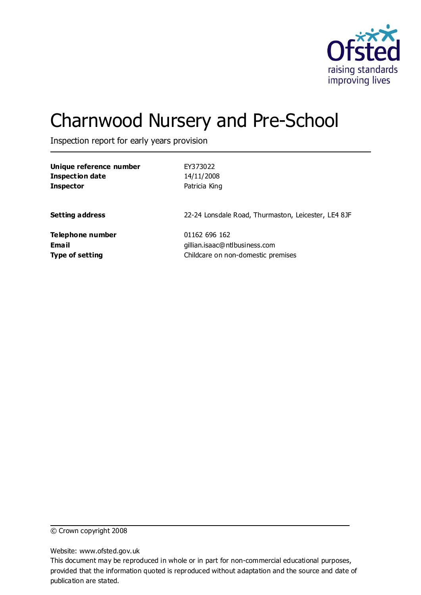

# Charnwood Nursery and Pre-School

Inspection report for early years provision

| Unique reference number | EY373022                                            |
|-------------------------|-----------------------------------------------------|
| <b>Inspection date</b>  | 14/11/2008                                          |
| <b>Inspector</b>        | Patricia King                                       |
| <b>Setting address</b>  | 22-24 Lonsdale Road, Thurmaston, Leicester, LE4 8JF |
| Telephone number        | 01162 696 162                                       |
| Email                   | gillian.isaac@ntlbusiness.com                       |
| <b>Type of setting</b>  | Childcare on non-domestic premises                  |

© Crown copyright 2008

Website: www.ofsted.gov.uk

This document may be reproduced in whole or in part for non-commercial educational purposes, provided that the information quoted is reproduced without adaptation and the source and date of publication are stated.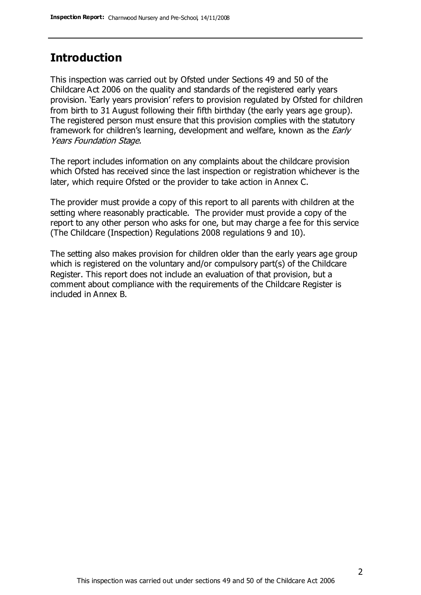### **Introduction**

This inspection was carried out by Ofsted under Sections 49 and 50 of the Childcare Act 2006 on the quality and standards of the registered early years provision. 'Early years provision' refers to provision regulated by Ofsted for children from birth to 31 August following their fifth birthday (the early years age group). The registered person must ensure that this provision complies with the statutory framework for children's learning, development and welfare, known as the *Early* Years Foundation Stage.

The report includes information on any complaints about the childcare provision which Ofsted has received since the last inspection or registration whichever is the later, which require Ofsted or the provider to take action in Annex C.

The provider must provide a copy of this report to all parents with children at the setting where reasonably practicable. The provider must provide a copy of the report to any other person who asks for one, but may charge a fee for this service (The Childcare (Inspection) Regulations 2008 regulations 9 and 10).

The setting also makes provision for children older than the early years age group which is registered on the voluntary and/or compulsory part(s) of the Childcare Register. This report does not include an evaluation of that provision, but a comment about compliance with the requirements of the Childcare Register is included in Annex B.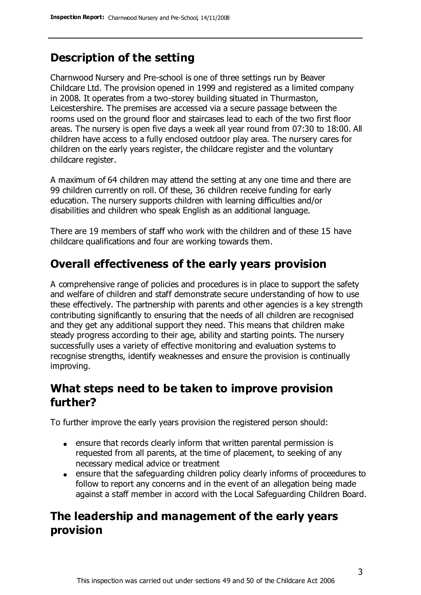# **Description of the setting**

Charnwood Nursery and Pre-school is one of three settings run by Beaver Childcare Ltd. The provision opened in 1999 and registered as a limited company in 2008. It operates from a two-storey building situated in Thurmaston, Leicestershire. The premises are accessed via a secure passage between the rooms used on the ground floor and staircases lead to each of the two first floor areas. The nursery is open five days a week all year round from 07:30 to 18:00. All children have access to a fully enclosed outdoor play area. The nursery cares for children on the early years register, the childcare register and the voluntary childcare register.

A maximum of 64 children may attend the setting at any one time and there are 99 children currently on roll. Of these, 36 children receive funding for early education. The nursery supports children with learning difficulties and/or disabilities and children who speak English as an additional language.

There are 19 members of staff who work with the children and of these 15 have childcare qualifications and four are working towards them.

# **Overall effectiveness of the early years provision**

A comprehensive range of policies and procedures is in place to support the safety and welfare of children and staff demonstrate secure understanding of how to use these effectively. The partnership with parents and other agencies is a key strength contributing significantly to ensuring that the needs of all children are recognised and they get any additional support they need. This means that children make steady progress according to their age, ability and starting points. The nursery successfully uses a variety of effective monitoring and evaluation systems to recognise strengths, identify weaknesses and ensure the provision is continually improving.

### **What steps need to be taken to improve provision further?**

To further improve the early years provision the registered person should:

- ensure that records clearly inform that written parental permission is requested from all parents, at the time of placement, to seeking of any necessary medical advice or treatment
- ensure that the safeguarding children policy clearly informs of proceedures to follow to report any concerns and in the event of an allegation being made against a staff member in accord with the Local Safeguarding Children Board.

# **The leadership and management of the early years provision**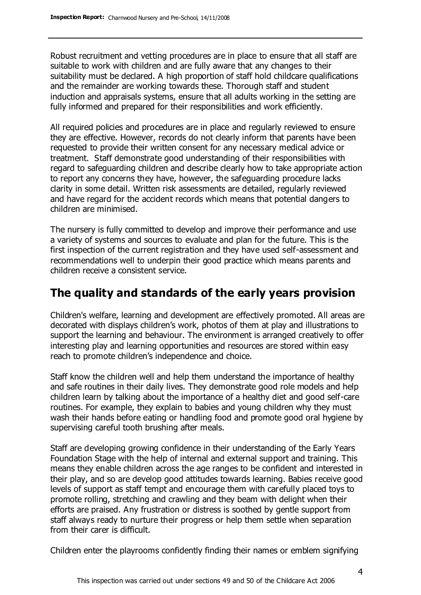Robust recruitment and vetting procedures are in place to ensure that all staff are suitable to work with children and are fully aware that any changes to their suitability must be declared. A high proportion of staff hold childcare qualifications and the remainder are working towards these. Thorough staff and student induction and appraisals systems, ensure that all adults working in the setting are fully informed and prepared for their responsibilities and work efficiently.

All required policies and procedures are in place and regularly reviewed to ensure they are effective. However, records do not clearly inform that parents have been requested to provide their written consent for any necessary medical advice or treatment. Staff demonstrate good understanding of their responsibilities with regard to safeguarding children and describe clearly how to take appropriate action to report any concerns they have, however, the safeguarding procedure lacks clarity in some detail. Written risk assessments are detailed, regularly reviewed and have regard for the accident records which means that potential dangers to children are minimised.

The nursery is fully committed to develop and improve their performance and use a variety of systems and sources to evaluate and plan for the future. This is the first inspection of the current registration and they have used self-assessment and recommendations well to underpin their good practice which means parents and children receive a consistent service.

### **The quality and standards of the early years provision**

Children's welfare, learning and development are effectively promoted. All areas are decorated with displays children's work, photos of them at play and illustrations to support the learning and behaviour. The environment is arranged creatively to offer interesting play and learning opportunities and resources are stored within easy reach to promote children's independence and choice.

Staff know the children well and help them understand the importance of healthy and safe routines in their daily lives. They demonstrate good role models and help children learn by talking about the importance of a healthy diet and good self-care routines. For example, they explain to babies and young children why they must wash their hands before eating or handling food and promote good oral hygiene by supervising careful tooth brushing after meals.

Staff are developing growing confidence in their understanding of the Early Years Foundation Stage with the help of internal and external support and training. This means they enable children across the age ranges to be confident and interested in their play, and so are develop good attitudes towards learning. Babies receive good levels of support as staff tempt and encourage them with carefully placed toys to promote rolling, stretching and crawling and they beam with delight when their efforts are praised. Any frustration or distress is soothed by gentle support from staff always ready to nurture their progress or help them settle when separation from their carer is difficult.

Children enter the playrooms confidently finding their names or emblem signifying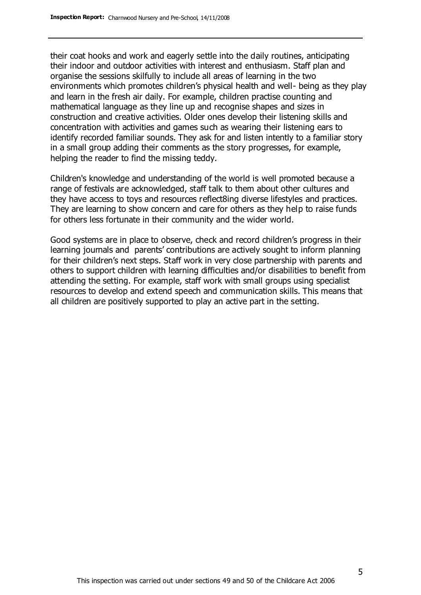their coat hooks and work and eagerly settle into the daily routines, anticipating their indoor and outdoor activities with interest and enthusiasm. Staff plan and organise the sessions skilfully to include all areas of learning in the two environments which promotes children's physical health and well- being as they play and learn in the fresh air daily. For example, children practise counting and mathematical language as they line up and recognise shapes and sizes in construction and creative activities. Older ones develop their listening skills and concentration with activities and games such as wearing their listening ears to identify recorded familiar sounds. They ask for and listen intently to a familiar story in a small group adding their comments as the story progresses, for example, helping the reader to find the missing teddy.

Children's knowledge and understanding of the world is well promoted because a range of festivals are acknowledged, staff talk to them about other cultures and they have access to toys and resources reflect8ing diverse lifestyles and practices. They are learning to show concern and care for others as they help to raise funds for others less fortunate in their community and the wider world.

Good systems are in place to observe, check and record children's progress in their learning journals and parents' contributions are actively sought to inform planning for their children's next steps. Staff work in very close partnership with parents and others to support children with learning difficulties and/or disabilities to benefit from attending the setting. For example, staff work with small groups using specialist resources to develop and extend speech and communication skills. This means that all children are positively supported to play an active part in the setting.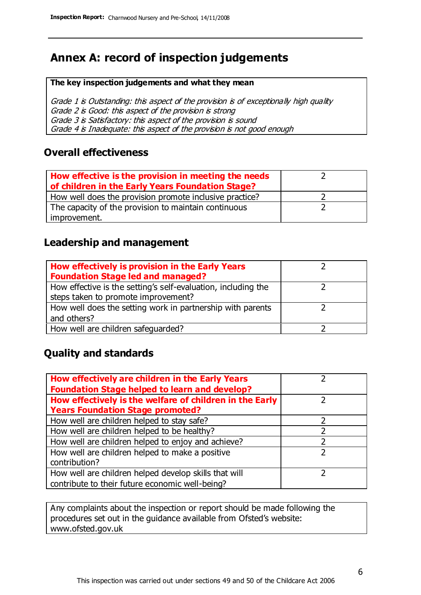# **Annex A: record of inspection judgements**

#### **The key inspection judgements and what they mean**

Grade 1 is Outstanding: this aspect of the provision is of exceptionally high quality Grade 2 is Good: this aspect of the provision is strong Grade 3 is Satisfactory: this aspect of the provision is sound Grade 4 is Inadequate: this aspect of the provision is not good enough

### **Overall effectiveness**

| How effective is the provision in meeting the needs<br>of children in the Early Years Foundation Stage? |  |
|---------------------------------------------------------------------------------------------------------|--|
| How well does the provision promote inclusive practice?                                                 |  |
| The capacity of the provision to maintain continuous                                                    |  |
| improvement.                                                                                            |  |

### **Leadership and management**

| How effectively is provision in the Early Years               |  |
|---------------------------------------------------------------|--|
| <b>Foundation Stage led and managed?</b>                      |  |
| How effective is the setting's self-evaluation, including the |  |
| steps taken to promote improvement?                           |  |
| How well does the setting work in partnership with parents    |  |
| and others?                                                   |  |
| How well are children safeguarded?                            |  |

### **Quality and standards**

| How effectively are children in the Early Years         |   |
|---------------------------------------------------------|---|
| <b>Foundation Stage helped to learn and develop?</b>    |   |
| How effectively is the welfare of children in the Early |   |
| <b>Years Foundation Stage promoted?</b>                 |   |
| How well are children helped to stay safe?              |   |
| How well are children helped to be healthy?             |   |
| How well are children helped to enjoy and achieve?      | 2 |
| How well are children helped to make a positive         |   |
| contribution?                                           |   |
| How well are children helped develop skills that will   |   |
| contribute to their future economic well-being?         |   |

Any complaints about the inspection or report should be made following the procedures set out in the guidance available from Ofsted's website: www.ofsted.gov.uk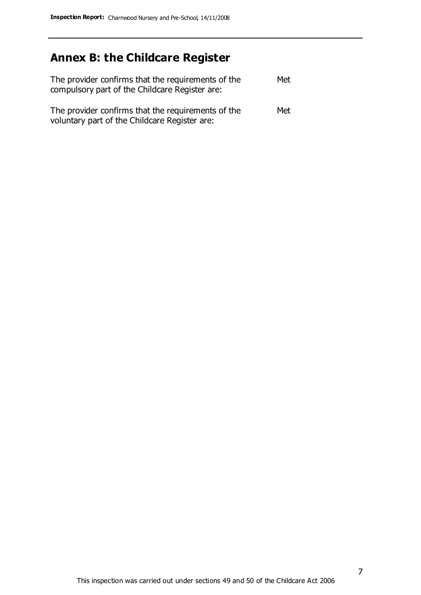# **Annex B: the Childcare Register**

| The provider confirms that the requirements of the<br>compulsory part of the Childcare Register are: | Met |
|------------------------------------------------------------------------------------------------------|-----|
| The provider confirms that the requirements of the<br>voluntary part of the Childcare Register are:  | Met |